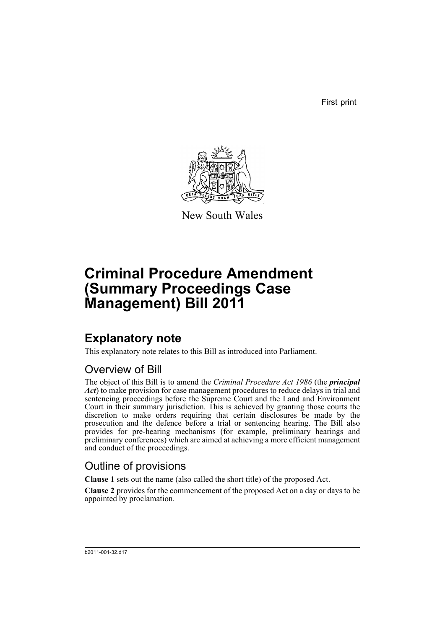First print



New South Wales

# **Criminal Procedure Amendment (Summary Proceedings Case Management) Bill 2011**

# **Explanatory note**

This explanatory note relates to this Bill as introduced into Parliament.

## Overview of Bill

The object of this Bill is to amend the *Criminal Procedure Act 1986* (the *principal Act*) to make provision for case management procedures to reduce delays in trial and sentencing proceedings before the Supreme Court and the Land and Environment Court in their summary jurisdiction. This is achieved by granting those courts the discretion to make orders requiring that certain disclosures be made by the prosecution and the defence before a trial or sentencing hearing. The Bill also provides for pre-hearing mechanisms (for example, preliminary hearings and preliminary conferences) which are aimed at achieving a more efficient management and conduct of the proceedings.

## Outline of provisions

**Clause 1** sets out the name (also called the short title) of the proposed Act.

**Clause 2** provides for the commencement of the proposed Act on a day or days to be appointed by proclamation.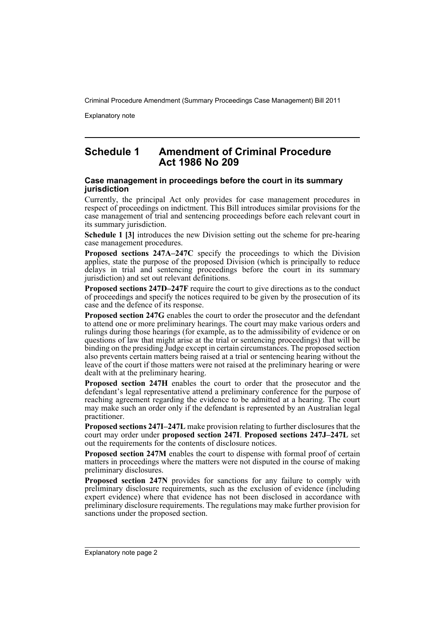Explanatory note

### **Schedule 1 Amendment of Criminal Procedure Act 1986 No 209**

#### **Case management in proceedings before the court in its summary jurisdiction**

Currently, the principal Act only provides for case management procedures in respect of proceedings on indictment. This Bill introduces similar provisions for the case management of trial and sentencing proceedings before each relevant court in its summary jurisdiction.

**Schedule 1 [3]** introduces the new Division setting out the scheme for pre-hearing case management procedures.

**Proposed sections 247A–247C** specify the proceedings to which the Division applies, state the purpose of the proposed Division (which is principally to reduce delays in trial and sentencing proceedings before the court in its summary jurisdiction) and set out relevant definitions.

**Proposed sections 247D–247F** require the court to give directions as to the conduct of proceedings and specify the notices required to be given by the prosecution of its case and the defence of its response.

**Proposed section 247G** enables the court to order the prosecutor and the defendant to attend one or more preliminary hearings. The court may make various orders and rulings during those hearings (for example, as to the admissibility of evidence or on questions of law that might arise at the trial or sentencing proceedings) that will be binding on the presiding Judge except in certain circumstances. The proposed section also prevents certain matters being raised at a trial or sentencing hearing without the leave of the court if those matters were not raised at the preliminary hearing or were dealt with at the preliminary hearing.

**Proposed section 247H** enables the court to order that the prosecutor and the defendant's legal representative attend a preliminary conference for the purpose of reaching agreement regarding the evidence to be admitted at a hearing. The court may make such an order only if the defendant is represented by an Australian legal practitioner.

**Proposed sections 247I–247L** make provision relating to further disclosures that the court may order under **proposed section 247I**. **Proposed sections 247J–247L** set out the requirements for the contents of disclosure notices.

**Proposed section 247M** enables the court to dispense with formal proof of certain matters in proceedings where the matters were not disputed in the course of making preliminary disclosures.

**Proposed section 247N** provides for sanctions for any failure to comply with preliminary disclosure requirements, such as the exclusion of evidence (including expert evidence) where that evidence has not been disclosed in accordance with preliminary disclosure requirements. The regulations may make further provision for sanctions under the proposed section.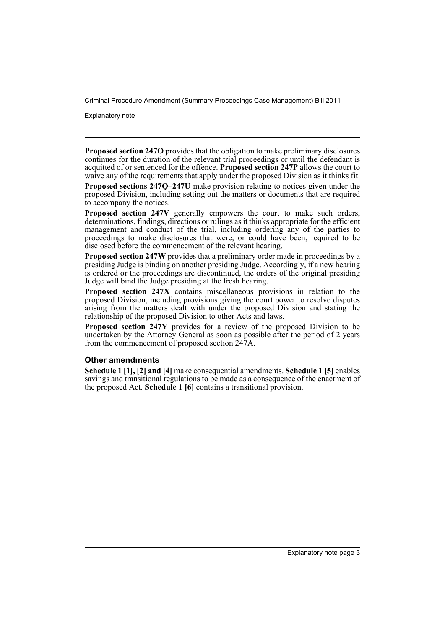Explanatory note

**Proposed section 247O** provides that the obligation to make preliminary disclosures continues for the duration of the relevant trial proceedings or until the defendant is acquitted of or sentenced for the offence. **Proposed section 247P** allows the court to waive any of the requirements that apply under the proposed Division as it thinks fit.

**Proposed sections 247Q–247U** make provision relating to notices given under the proposed Division, including setting out the matters or documents that are required to accompany the notices.

**Proposed section 247V** generally empowers the court to make such orders, determinations, findings, directions or rulings as it thinks appropriate for the efficient management and conduct of the trial, including ordering any of the parties to proceedings to make disclosures that were, or could have been, required to be disclosed before the commencement of the relevant hearing.

Proposed section 247W provides that a preliminary order made in proceedings by a presiding Judge is binding on another presiding Judge. Accordingly, if a new hearing is ordered or the proceedings are discontinued, the orders of the original presiding Judge will bind the Judge presiding at the fresh hearing.

**Proposed section 247X** contains miscellaneous provisions in relation to the proposed Division, including provisions giving the court power to resolve disputes arising from the matters dealt with under the proposed Division and stating the relationship of the proposed Division to other Acts and laws.

**Proposed section 247Y** provides for a review of the proposed Division to be undertaken by the Attorney General as soon as possible after the period of 2 years from the commencement of proposed section 247A.

#### **Other amendments**

**Schedule 1 [1], [2] and [4]** make consequential amendments. **Schedule 1 [5]** enables savings and transitional regulations to be made as a consequence of the enactment of the proposed Act. **Schedule 1 [6]** contains a transitional provision.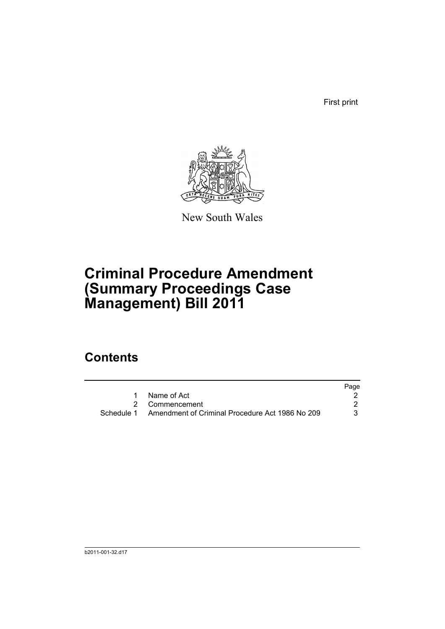First print



New South Wales

# **Criminal Procedure Amendment (Summary Proceedings Case Management) Bill 2011**

## **Contents**

|                                                            | Page |
|------------------------------------------------------------|------|
| Name of Act                                                |      |
| 2 Commencement                                             |      |
| Schedule 1 Amendment of Criminal Procedure Act 1986 No 209 | 3    |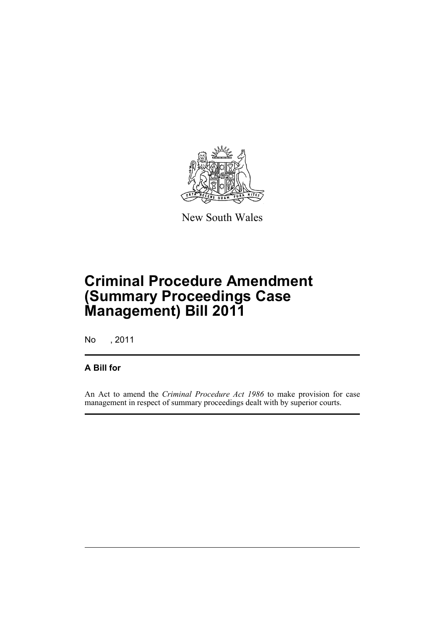

New South Wales

# **Criminal Procedure Amendment (Summary Proceedings Case Management) Bill 2011**

No , 2011

### **A Bill for**

An Act to amend the *Criminal Procedure Act 1986* to make provision for case management in respect of summary proceedings dealt with by superior courts.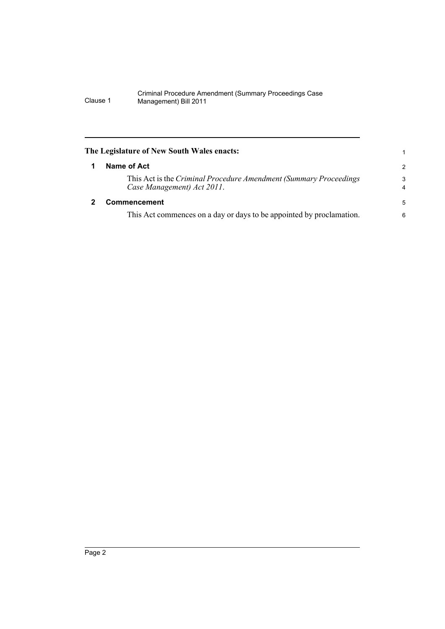<span id="page-7-1"></span><span id="page-7-0"></span>

| The Legislature of New South Wales enacts:                                                       |                     |
|--------------------------------------------------------------------------------------------------|---------------------|
| Name of Act                                                                                      | $\overline{2}$      |
| This Act is the Criminal Procedure Amendment (Summary Proceedings)<br>Case Management) Act 2011. | 3<br>$\overline{4}$ |
| Commencement                                                                                     | 5                   |
| This Act commences on a day or days to be appointed by proclamation.                             | 6                   |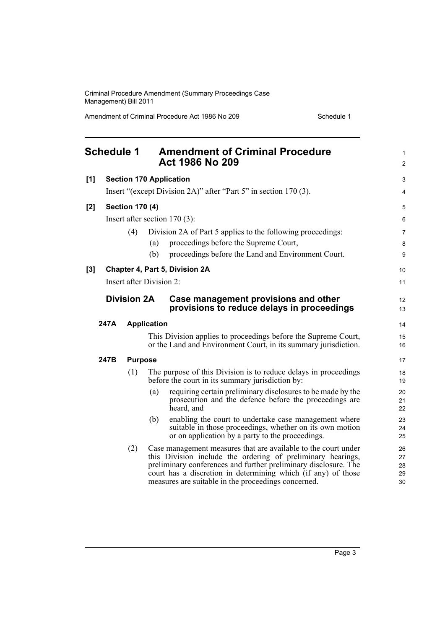Amendment of Criminal Procedure Act 1986 No 209 Schedule 1

<span id="page-8-0"></span>

| <b>Schedule 1</b> |                                                                  |                        |                          | <b>Amendment of Criminal Procedure</b><br><b>Act 1986 No 209</b>                                                                                                                                                                                                                                                         | $\mathbf{1}$<br>$\overline{2}$ |  |
|-------------------|------------------------------------------------------------------|------------------------|--------------------------|--------------------------------------------------------------------------------------------------------------------------------------------------------------------------------------------------------------------------------------------------------------------------------------------------------------------------|--------------------------------|--|
| [1]               | <b>Section 170 Application</b>                                   |                        |                          |                                                                                                                                                                                                                                                                                                                          |                                |  |
|                   | Insert "(except Division 2A)" after "Part 5" in section 170 (3). |                        |                          |                                                                                                                                                                                                                                                                                                                          |                                |  |
| [2]               |                                                                  | <b>Section 170 (4)</b> |                          |                                                                                                                                                                                                                                                                                                                          | 5                              |  |
|                   |                                                                  |                        |                          | Insert after section $170(3)$ :                                                                                                                                                                                                                                                                                          | 6                              |  |
|                   |                                                                  | (4)                    |                          | Division 2A of Part 5 applies to the following proceedings:                                                                                                                                                                                                                                                              | $\overline{7}$                 |  |
|                   |                                                                  |                        | (a)                      | proceedings before the Supreme Court,                                                                                                                                                                                                                                                                                    | 8                              |  |
|                   |                                                                  |                        | (b)                      | proceedings before the Land and Environment Court.                                                                                                                                                                                                                                                                       | 9                              |  |
| [3]               |                                                                  |                        |                          | Chapter 4, Part 5, Division 2A                                                                                                                                                                                                                                                                                           | 10                             |  |
|                   |                                                                  |                        | Insert after Division 2: |                                                                                                                                                                                                                                                                                                                          | 11                             |  |
|                   | <b>Division 2A</b>                                               |                        |                          | Case management provisions and other<br>provisions to reduce delays in proceedings                                                                                                                                                                                                                                       | 12<br>13                       |  |
|                   | 247A                                                             |                        | <b>Application</b>       |                                                                                                                                                                                                                                                                                                                          | 14                             |  |
|                   |                                                                  |                        |                          | This Division applies to proceedings before the Supreme Court,<br>or the Land and Environment Court, in its summary jurisdiction.                                                                                                                                                                                        | 15<br>16                       |  |
|                   | 247B                                                             | <b>Purpose</b>         |                          |                                                                                                                                                                                                                                                                                                                          | 17                             |  |
|                   |                                                                  | (1)                    |                          | The purpose of this Division is to reduce delays in proceedings<br>before the court in its summary jurisdiction by:                                                                                                                                                                                                      | 18<br>19                       |  |
|                   |                                                                  |                        | (a)                      | requiring certain preliminary disclosures to be made by the<br>prosecution and the defence before the proceedings are<br>heard, and                                                                                                                                                                                      | 20<br>21<br>22                 |  |
|                   |                                                                  |                        | (b)                      | enabling the court to undertake case management where<br>suitable in those proceedings, whether on its own motion<br>or on application by a party to the proceedings.                                                                                                                                                    | 23<br>24<br>25                 |  |
|                   |                                                                  | (2)                    |                          | Case management measures that are available to the court under<br>this Division include the ordering of preliminary hearings,<br>preliminary conferences and further preliminary disclosure. The<br>court has a discretion in determining which (if any) of those<br>measures are suitable in the proceedings concerned. | 26<br>27<br>28<br>29<br>30     |  |

Page 3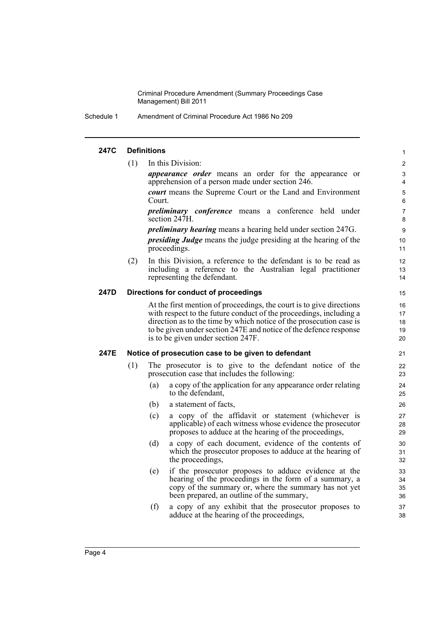Schedule 1 Amendment of Criminal Procedure Act 1986 No 209

#### **247C Definitions**

(1) In this Division:

*appearance order* means an order for the appearance or apprehension of a person made under section 246.

*court* means the Supreme Court or the Land and Environment Court.

*preliminary conference* means a conference held under section 247H.

*preliminary hearing* means a hearing held under section 247G. *presiding Judge* means the judge presiding at the hearing of the proceedings.

(2) In this Division, a reference to the defendant is to be read as including a reference to the Australian legal practitioner representing the defendant.

#### **247D Directions for conduct of proceedings**

At the first mention of proceedings, the court is to give directions with respect to the future conduct of the proceedings, including a direction as to the time by which notice of the prosecution case is to be given under section 247E and notice of the defence response is to be given under section 247F.

#### **247E Notice of prosecution case to be given to defendant**

- (1) The prosecutor is to give to the defendant notice of the prosecution case that includes the following:
	- (a) a copy of the application for any appearance order relating to the defendant,
	- (b) a statement of facts,
	- (c) a copy of the affidavit or statement (whichever is applicable) of each witness whose evidence the prosecutor proposes to adduce at the hearing of the proceedings,
	- (d) a copy of each document, evidence of the contents of which the prosecutor proposes to adduce at the hearing of the proceedings,
	- (e) if the prosecutor proposes to adduce evidence at the hearing of the proceedings in the form of a summary, a copy of the summary or, where the summary has not yet been prepared, an outline of the summary,
	- (f) a copy of any exhibit that the prosecutor proposes to adduce at the hearing of the proceedings,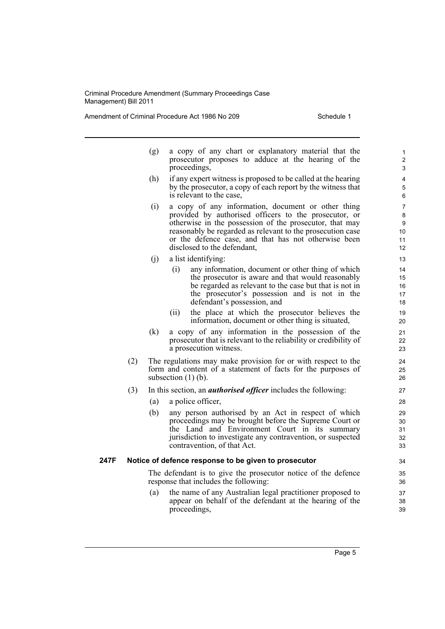Amendment of Criminal Procedure Act 1986 No 209 Schedule 1

- (g) a copy of any chart or explanatory material that the prosecutor proposes to adduce at the hearing of the proceedings,
- (h) if any expert witness is proposed to be called at the hearing by the prosecutor, a copy of each report by the witness that is relevant to the case,
- (i) a copy of any information, document or other thing provided by authorised officers to the prosecutor, or otherwise in the possession of the prosecutor, that may reasonably be regarded as relevant to the prosecution case or the defence case, and that has not otherwise been disclosed to the defendant,
- (j) a list identifying:
	- (i) any information, document or other thing of which the prosecutor is aware and that would reasonably be regarded as relevant to the case but that is not in the prosecutor's possession and is not in the defendant's possession, and
	- (ii) the place at which the prosecutor believes the information, document or other thing is situated,
- (k) a copy of any information in the possession of the prosecutor that is relevant to the reliability or credibility of a prosecution witness.
- (2) The regulations may make provision for or with respect to the form and content of a statement of facts for the purposes of subsection  $(1)$  (b).
- (3) In this section, an *authorised officer* includes the following:
	- (a) a police officer,
	- (b) any person authorised by an Act in respect of which proceedings may be brought before the Supreme Court or the Land and Environment Court in its summary jurisdiction to investigate any contravention, or suspected contravention, of that Act.

#### **247F Notice of defence response to be given to prosecutor**

The defendant is to give the prosecutor notice of the defence response that includes the following:

(a) the name of any Australian legal practitioner proposed to appear on behalf of the defendant at the hearing of the proceedings,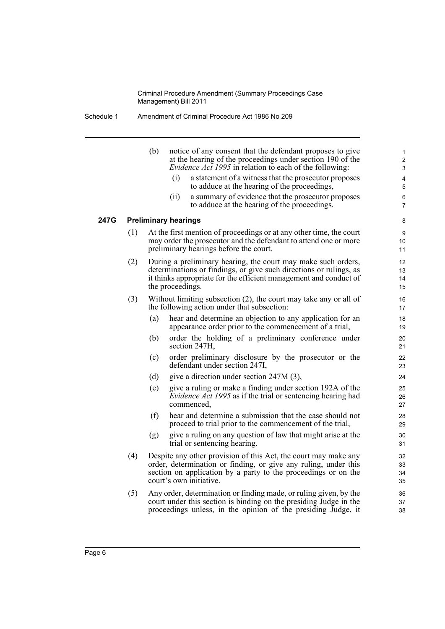Schedule 1 Amendment of Criminal Procedure Act 1986 No 209

|      |     | (b) | notice of any consent that the defendant proposes to give<br>at the hearing of the proceedings under section 190 of the<br><i>Evidence Act 1995</i> in relation to each of the following:                                       | 1<br>2<br>3          |
|------|-----|-----|---------------------------------------------------------------------------------------------------------------------------------------------------------------------------------------------------------------------------------|----------------------|
|      |     |     | (i)<br>a statement of a witness that the prosecutor proposes<br>to adduce at the hearing of the proceedings,                                                                                                                    | 4<br>5               |
|      |     |     | a summary of evidence that the prosecutor proposes<br>(ii)<br>to adduce at the hearing of the proceedings.                                                                                                                      | 6<br>$\overline{7}$  |
| 247G |     |     | <b>Preliminary hearings</b>                                                                                                                                                                                                     | 8                    |
|      | (1) |     | At the first mention of proceedings or at any other time, the court<br>may order the prosecutor and the defendant to attend one or more<br>preliminary hearings before the court.                                               | 9<br>10<br>11        |
|      | (2) |     | During a preliminary hearing, the court may make such orders,<br>determinations or findings, or give such directions or rulings, as<br>it thinks appropriate for the efficient management and conduct of<br>the proceedings.    | 12<br>13<br>14<br>15 |
|      | (3) |     | Without limiting subsection (2), the court may take any or all of<br>the following action under that subsection:                                                                                                                | 16<br>17             |
|      |     | (a) | hear and determine an objection to any application for an<br>appearance order prior to the commencement of a trial,                                                                                                             | 18<br>19             |
|      |     | (b) | order the holding of a preliminary conference under<br>section 247H,                                                                                                                                                            | 20<br>21             |
|      |     | (c) | order preliminary disclosure by the prosecutor or the<br>defendant under section 247I,                                                                                                                                          | 22<br>23             |
|      |     | (d) | give a direction under section $247M(3)$ ,                                                                                                                                                                                      | 24                   |
|      |     | (e) | give a ruling or make a finding under section 192A of the<br><i>Evidence Act 1995</i> as if the trial or sentencing hearing had<br>commenced.                                                                                   | 25<br>26<br>27       |
|      |     | (f) | hear and determine a submission that the case should not<br>proceed to trial prior to the commencement of the trial,                                                                                                            | 28<br>29             |
|      |     | (g) | give a ruling on any question of law that might arise at the<br>trial or sentencing hearing.                                                                                                                                    | 30<br>31             |
|      | (4) |     | Despite any other provision of this Act, the court may make any<br>order, determination or finding, or give any ruling, under this<br>section on application by a party to the proceedings or on the<br>court's own initiative. | 32<br>33<br>34<br>35 |
|      | (5) |     | Any order, determination or finding made, or ruling given, by the<br>court under this section is binding on the presiding Judge in the<br>proceedings unless, in the opinion of the presiding Judge, it                         | 36<br>37<br>38       |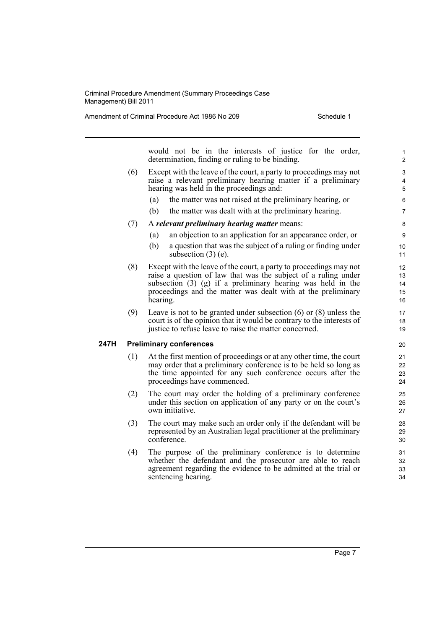Amendment of Criminal Procedure Act 1986 No 209 Schedule 1

would not be in the interests of justice for the order, determination, finding or ruling to be binding.

- (6) Except with the leave of the court, a party to proceedings may not raise a relevant preliminary hearing matter if a preliminary hearing was held in the proceedings and:
	- (a) the matter was not raised at the preliminary hearing, or
	- (b) the matter was dealt with at the preliminary hearing.
- (7) A *relevant preliminary hearing matter* means:
	- (a) an objection to an application for an appearance order, or
	- (b) a question that was the subject of a ruling or finding under subsection  $(3)$  (e).
- (8) Except with the leave of the court, a party to proceedings may not raise a question of law that was the subject of a ruling under subsection (3) (g) if a preliminary hearing was held in the proceedings and the matter was dealt with at the preliminary hearing.
- (9) Leave is not to be granted under subsection (6) or (8) unless the court is of the opinion that it would be contrary to the interests of justice to refuse leave to raise the matter concerned.

#### **247H Preliminary conferences**

- (1) At the first mention of proceedings or at any other time, the court may order that a preliminary conference is to be held so long as the time appointed for any such conference occurs after the proceedings have commenced.
- (2) The court may order the holding of a preliminary conference under this section on application of any party or on the court's own initiative.
- (3) The court may make such an order only if the defendant will be represented by an Australian legal practitioner at the preliminary conference.
- (4) The purpose of the preliminary conference is to determine whether the defendant and the prosecutor are able to reach agreement regarding the evidence to be admitted at the trial or sentencing hearing.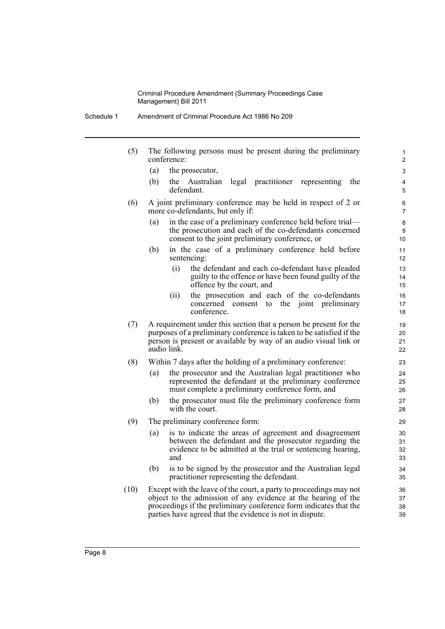- Schedule 1 Amendment of Criminal Procedure Act 1986 No 209
	- (5) The following persons must be present during the preliminary conference:
		- (a) the prosecutor,
		- (b) the Australian legal practitioner representing the defendant.

- (6) A joint preliminary conference may be held in respect of 2 or more co-defendants, but only if:
	- (a) in the case of a preliminary conference held before trial the prosecution and each of the co-defendants concerned consent to the joint preliminary conference, or
	- (b) in the case of a preliminary conference held before sentencing:
		- (i) the defendant and each co-defendant have pleaded guilty to the offence or have been found guilty of the offence by the court, and
		- (ii) the prosecution and each of the co-defendants concerned consent to the joint preliminary conference.
- (7) A requirement under this section that a person be present for the purposes of a preliminary conference is taken to be satisfied if the person is present or available by way of an audio visual link or audio link.
- (8) Within 7 days after the holding of a preliminary conference:
	- (a) the prosecutor and the Australian legal practitioner who represented the defendant at the preliminary conference must complete a preliminary conference form, and
	- (b) the prosecutor must file the preliminary conference form with the court.
- (9) The preliminary conference form:
	- (a) is to indicate the areas of agreement and disagreement between the defendant and the prosecutor regarding the evidence to be admitted at the trial or sentencing hearing, and
	- (b) is to be signed by the prosecutor and the Australian legal practitioner representing the defendant.
- (10) Except with the leave of the court, a party to proceedings may not object to the admission of any evidence at the hearing of the proceedings if the preliminary conference form indicates that the parties have agreed that the evidence is not in dispute.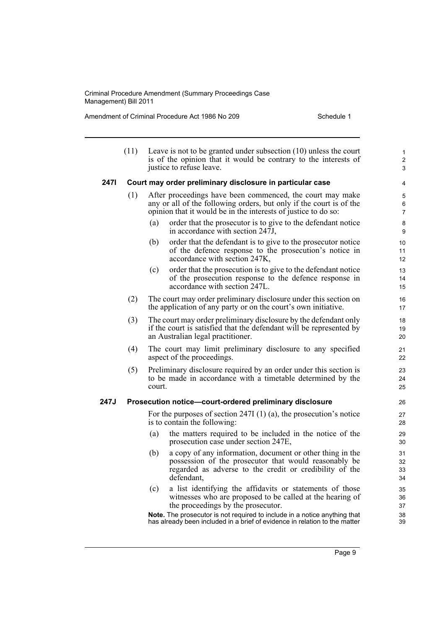Amendment of Criminal Procedure Act 1986 No 209 Schedule 1

|      | (11)                                                    | Leave is not to be granted under subsection $(10)$ unless the court<br>is of the opinion that it would be contrary to the interests of<br>justice to refuse leave.                                 | 1<br>$\mathbf{2}$<br>3 |  |  |  |
|------|---------------------------------------------------------|----------------------------------------------------------------------------------------------------------------------------------------------------------------------------------------------------|------------------------|--|--|--|
| 247I |                                                         | Court may order preliminary disclosure in particular case                                                                                                                                          | 4                      |  |  |  |
|      | (1)                                                     | After proceedings have been commenced, the court may make<br>any or all of the following orders, but only if the court is of the<br>opinion that it would be in the interests of justice to do so: |                        |  |  |  |
|      |                                                         | order that the prosecutor is to give to the defendant notice<br>(a)<br>in accordance with section 247J,                                                                                            | 8<br>9                 |  |  |  |
|      |                                                         | (b)<br>order that the defendant is to give to the prosecutor notice<br>of the defence response to the prosecution's notice in<br>accordance with section 247K,                                     | 10<br>11<br>12         |  |  |  |
|      |                                                         | order that the prosecution is to give to the defendant notice<br>(c)<br>of the prosecution response to the defence response in<br>accordance with section 247L.                                    | 13<br>14<br>15         |  |  |  |
|      | (2)                                                     | The court may order preliminary disclosure under this section on<br>the application of any party or on the court's own initiative.                                                                 | 16<br>17               |  |  |  |
|      | (3)                                                     | The court may order preliminary disclosure by the defendant only<br>if the court is satisfied that the defendant will be represented by<br>an Australian legal practitioner.                       | 18<br>19<br>20         |  |  |  |
|      | (4)                                                     | The court may limit preliminary disclosure to any specified<br>aspect of the proceedings.                                                                                                          | 21<br>22               |  |  |  |
|      | (5)                                                     | Preliminary disclosure required by an order under this section is<br>to be made in accordance with a timetable determined by the<br>court.                                                         | 23<br>24<br>25         |  |  |  |
| 247J | Prosecution notice-court-ordered preliminary disclosure |                                                                                                                                                                                                    |                        |  |  |  |
|      |                                                         | For the purposes of section 247I $(1)$ $(a)$ , the prosecution's notice<br>is to contain the following:                                                                                            | 27<br>28               |  |  |  |
|      |                                                         | the matters required to be included in the notice of the<br>(a)<br>prosecution case under section 247E,                                                                                            | 29<br>30               |  |  |  |
|      |                                                         | (b)<br>a copy of any information, document or other thing in the<br>possession of the prosecutor that would reasonably be<br>regarded as adverse to the credit or credibility of the<br>defendant, | 31<br>32<br>33<br>34   |  |  |  |
|      |                                                         | (c)<br>a list identifying the affidavits or statements of those<br>witnesses who are proposed to be called at the hearing of<br>the proceedings by the prosecutor.                                 | 35<br>36<br>37         |  |  |  |
|      |                                                         | Note. The prosecutor is not required to include in a notice anything that<br>has already been included in a brief of evidence in relation to the matter                                            | 38<br>39               |  |  |  |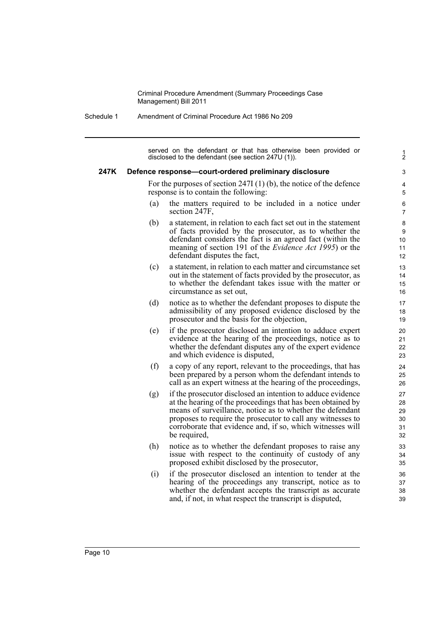Schedule 1 Amendment of Criminal Procedure Act 1986 No 209

served on the defendant or that has otherwise been provided or disclosed to the defendant (see section 247U (1)).

1 2

#### **247K Defence response—court-ordered preliminary disclosure**

For the purposes of section 247I (1) (b), the notice of the defence response is to contain the following:

- (a) the matters required to be included in a notice under section 247F,
- (b) a statement, in relation to each fact set out in the statement of facts provided by the prosecutor, as to whether the defendant considers the fact is an agreed fact (within the meaning of section 191 of the *Evidence Act 1995*) or the defendant disputes the fact,
- (c) a statement, in relation to each matter and circumstance set out in the statement of facts provided by the prosecutor, as to whether the defendant takes issue with the matter or circumstance as set out,
- (d) notice as to whether the defendant proposes to dispute the admissibility of any proposed evidence disclosed by the prosecutor and the basis for the objection,
- (e) if the prosecutor disclosed an intention to adduce expert evidence at the hearing of the proceedings, notice as to whether the defendant disputes any of the expert evidence and which evidence is disputed,
- (f) a copy of any report, relevant to the proceedings, that has been prepared by a person whom the defendant intends to call as an expert witness at the hearing of the proceedings,
- (g) if the prosecutor disclosed an intention to adduce evidence at the hearing of the proceedings that has been obtained by means of surveillance, notice as to whether the defendant proposes to require the prosecutor to call any witnesses to corroborate that evidence and, if so, which witnesses will be required,
- (h) notice as to whether the defendant proposes to raise any issue with respect to the continuity of custody of any proposed exhibit disclosed by the prosecutor,
- (i) if the prosecutor disclosed an intention to tender at the hearing of the proceedings any transcript, notice as to whether the defendant accepts the transcript as accurate and, if not, in what respect the transcript is disputed,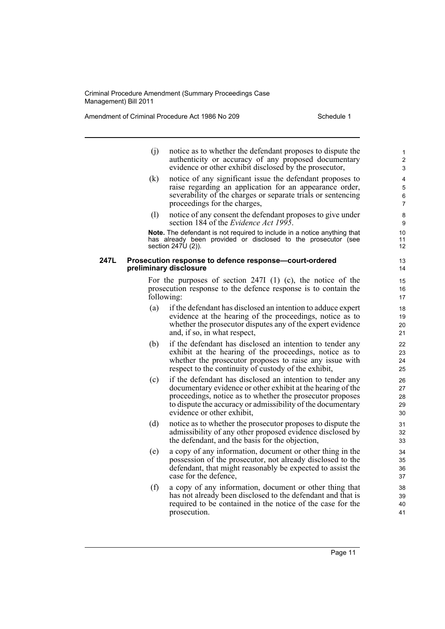Amendment of Criminal Procedure Act 1986 No 209 Schedule 1

- (j) notice as to whether the defendant proposes to dispute the authenticity or accuracy of any proposed documentary evidence or other exhibit disclosed by the prosecutor,
- (k) notice of any significant issue the defendant proposes to raise regarding an application for an appearance order, severability of the charges or separate trials or sentencing proceedings for the charges,
- (l) notice of any consent the defendant proposes to give under section 184 of the *Evidence Act 1995*.

**Note.** The defendant is not required to include in a notice anything that has already been provided or disclosed to the prosecutor (see section 247U (2)).

#### **247L Prosecution response to defence response—court-ordered preliminary disclosure**

For the purposes of section 247I (1) (c), the notice of the prosecution response to the defence response is to contain the following:

- (a) if the defendant has disclosed an intention to adduce expert evidence at the hearing of the proceedings, notice as to whether the prosecutor disputes any of the expert evidence and, if so, in what respect,
- (b) if the defendant has disclosed an intention to tender any exhibit at the hearing of the proceedings, notice as to whether the prosecutor proposes to raise any issue with respect to the continuity of custody of the exhibit,
- (c) if the defendant has disclosed an intention to tender any documentary evidence or other exhibit at the hearing of the proceedings, notice as to whether the prosecutor proposes to dispute the accuracy or admissibility of the documentary evidence or other exhibit,
- (d) notice as to whether the prosecutor proposes to dispute the admissibility of any other proposed evidence disclosed by the defendant, and the basis for the objection,
- (e) a copy of any information, document or other thing in the possession of the prosecutor, not already disclosed to the defendant, that might reasonably be expected to assist the case for the defence,
- (f) a copy of any information, document or other thing that has not already been disclosed to the defendant and that is required to be contained in the notice of the case for the prosecution.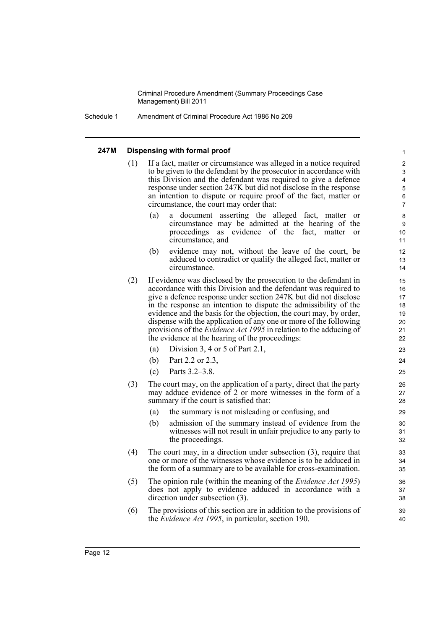Schedule 1 Amendment of Criminal Procedure Act 1986 No 209

#### **247M Dispensing with formal proof**

(1) If a fact, matter or circumstance was alleged in a notice required to be given to the defendant by the prosecutor in accordance with this Division and the defendant was required to give a defence response under section 247K but did not disclose in the response an intention to dispute or require proof of the fact, matter or circumstance, the court may order that: (a) a document asserting the alleged fact, matter or circumstance may be admitted at the hearing of the proceedings as evidence of the fact, matter or circumstance, and (b) evidence may not, without the leave of the court, be adduced to contradict or qualify the alleged fact, matter or circumstance. (2) If evidence was disclosed by the prosecution to the defendant in accordance with this Division and the defendant was required to give a defence response under section 247K but did not disclose in the response an intention to dispute the admissibility of the evidence and the basis for the objection, the court may, by order, dispense with the application of any one or more of the following provisions of the *Evidence Act 1995* in relation to the adducing of the evidence at the hearing of the proceedings: (a) Division 3, 4 or 5 of Part 2.1,

- (b) Part 2.2 or 2.3,
- (c) Parts 3.2–3.8.
- (3) The court may, on the application of a party, direct that the party may adduce evidence of 2 or more witnesses in the form of a summary if the court is satisfied that:
	- (a) the summary is not misleading or confusing, and
	- (b) admission of the summary instead of evidence from the witnesses will not result in unfair prejudice to any party to the proceedings.
- (4) The court may, in a direction under subsection (3), require that one or more of the witnesses whose evidence is to be adduced in the form of a summary are to be available for cross-examination.
- (5) The opinion rule (within the meaning of the *Evidence Act 1995*) does not apply to evidence adduced in accordance with a direction under subsection (3).
- (6) The provisions of this section are in addition to the provisions of the *Evidence Act 1995*, in particular, section 190.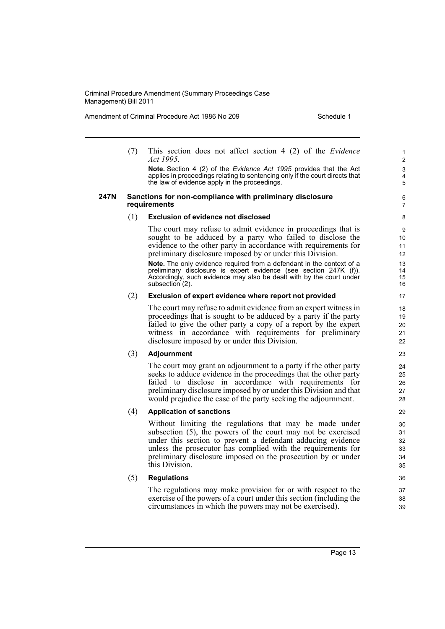Amendment of Criminal Procedure Act 1986 No 209 Schedule 1

(7) This section does not affect section 4 (2) of the *Evidence Act 1995*.

**Note.** Section 4 (2) of the *Evidence Act 1995* provides that the Act applies in proceedings relating to sentencing only if the court directs that the law of evidence apply in the proceedings.

#### **247N Sanctions for non-compliance with preliminary disclosure requirements**

#### (1) **Exclusion of evidence not disclosed**

The court may refuse to admit evidence in proceedings that is sought to be adduced by a party who failed to disclose the evidence to the other party in accordance with requirements for preliminary disclosure imposed by or under this Division.

**Note.** The only evidence required from a defendant in the context of a preliminary disclosure is expert evidence (see section 247K (f)). Accordingly, such evidence may also be dealt with by the court under subsection (2).

#### (2) **Exclusion of expert evidence where report not provided**

The court may refuse to admit evidence from an expert witness in proceedings that is sought to be adduced by a party if the party failed to give the other party a copy of a report by the expert witness in accordance with requirements for preliminary disclosure imposed by or under this Division.

#### (3) **Adjournment**

The court may grant an adjournment to a party if the other party seeks to adduce evidence in the proceedings that the other party failed to disclose in accordance with requirements for preliminary disclosure imposed by or under this Division and that would prejudice the case of the party seeking the adjournment.

#### (4) **Application of sanctions**

Without limiting the regulations that may be made under subsection (5), the powers of the court may not be exercised under this section to prevent a defendant adducing evidence unless the prosecutor has complied with the requirements for preliminary disclosure imposed on the prosecution by or under this Division.

#### (5) **Regulations**

The regulations may make provision for or with respect to the exercise of the powers of a court under this section (including the circumstances in which the powers may not be exercised).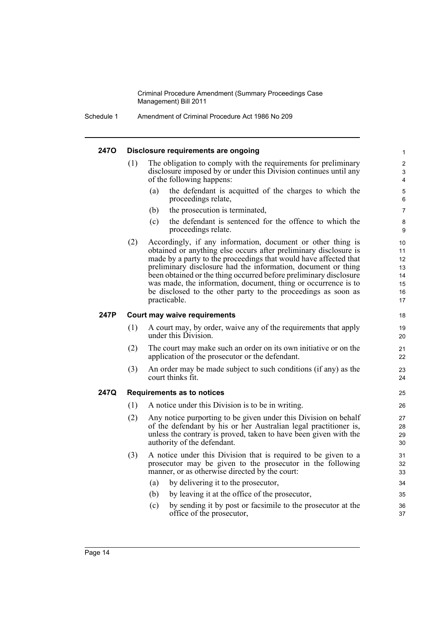Schedule 1 Amendment of Criminal Procedure Act 1986 No 209

## **247O Disclosure requirements are ongoing** (1) The obligation to comply with the requirements for preliminary

disclosure imposed by or under this Division continues until any of the following happens: (a) the defendant is acquitted of the charges to which the proceedings relate,

- (b) the prosecution is terminated,
- (c) the defendant is sentenced for the offence to which the proceedings relate.
- (2) Accordingly, if any information, document or other thing is obtained or anything else occurs after preliminary disclosure is made by a party to the proceedings that would have affected that preliminary disclosure had the information, document or thing been obtained or the thing occurred before preliminary disclosure was made, the information, document, thing or occurrence is to be disclosed to the other party to the proceedings as soon as practicable.

#### **247P Court may waive requirements**

- (1) A court may, by order, waive any of the requirements that apply under this Division.
- (2) The court may make such an order on its own initiative or on the application of the prosecutor or the defendant.
- (3) An order may be made subject to such conditions (if any) as the court thinks fit.

#### **247Q Requirements as to notices**

- (1) A notice under this Division is to be in writing.
- (2) Any notice purporting to be given under this Division on behalf of the defendant by his or her Australian legal practitioner is, unless the contrary is proved, taken to have been given with the authority of the defendant.
- (3) A notice under this Division that is required to be given to a prosecutor may be given to the prosecutor in the following manner, or as otherwise directed by the court:
	- (a) by delivering it to the prosecutor,
	- (b) by leaving it at the office of the prosecutor,
	- (c) by sending it by post or facsimile to the prosecutor at the office of the prosecutor,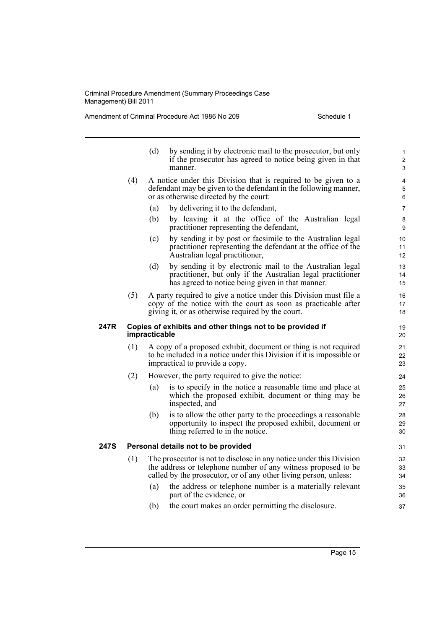Amendment of Criminal Procedure Act 1986 No 209 Schedule 1

|      |                                                                            | (d)                                                                                                                                                                                                      | by sending it by electronic mail to the prosecutor, but only<br>if the prosecutor has agreed to notice being given in that<br>manner.                                                    | 1<br>$\overline{2}$<br>3 |  |
|------|----------------------------------------------------------------------------|----------------------------------------------------------------------------------------------------------------------------------------------------------------------------------------------------------|------------------------------------------------------------------------------------------------------------------------------------------------------------------------------------------|--------------------------|--|
|      | (4)                                                                        |                                                                                                                                                                                                          | A notice under this Division that is required to be given to a<br>defendant may be given to the defendant in the following manner,<br>or as otherwise directed by the court:             | 4<br>5<br>6              |  |
|      |                                                                            | (a)                                                                                                                                                                                                      | by delivering it to the defendant,                                                                                                                                                       | 7                        |  |
|      |                                                                            | (b)                                                                                                                                                                                                      | by leaving it at the office of the Australian legal<br>practitioner representing the defendant,                                                                                          | 8<br>9                   |  |
|      |                                                                            | (c)                                                                                                                                                                                                      | by sending it by post or facsimile to the Australian legal<br>practitioner representing the defendant at the office of the<br>Australian legal practitioner,                             | 10<br>11<br>12           |  |
|      |                                                                            | (d)                                                                                                                                                                                                      | by sending it by electronic mail to the Australian legal<br>practitioner, but only if the Australian legal practitioner<br>has agreed to notice being given in that manner.              | 13<br>14<br>15           |  |
|      | (5)                                                                        |                                                                                                                                                                                                          | A party required to give a notice under this Division must file a<br>copy of the notice with the court as soon as practicable after<br>giving it, or as otherwise required by the court. | 16<br>17<br>18           |  |
| 247R | Copies of exhibits and other things not to be provided if<br>impracticable |                                                                                                                                                                                                          |                                                                                                                                                                                          |                          |  |
|      | (1)                                                                        | A copy of a proposed exhibit, document or thing is not required<br>to be included in a notice under this Division if it is impossible or<br>impractical to provide a copy.                               |                                                                                                                                                                                          |                          |  |
|      | (2)                                                                        | However, the party required to give the notice:                                                                                                                                                          |                                                                                                                                                                                          |                          |  |
|      |                                                                            | (a)                                                                                                                                                                                                      | is to specify in the notice a reasonable time and place at<br>which the proposed exhibit, document or thing may be<br>inspected, and                                                     | 25<br>26<br>27           |  |
|      |                                                                            | (b)                                                                                                                                                                                                      | is to allow the other party to the proceedings a reasonable<br>opportunity to inspect the proposed exhibit, document or<br>thing referred to in the notice.                              | 28<br>29<br>30           |  |
| 247S | Personal details not to be provided                                        |                                                                                                                                                                                                          |                                                                                                                                                                                          |                          |  |
|      | (1)                                                                        | The prosecutor is not to disclose in any notice under this Division<br>the address or telephone number of any witness proposed to be<br>called by the prosecutor, or of any other living person, unless: |                                                                                                                                                                                          |                          |  |
|      |                                                                            | (a)                                                                                                                                                                                                      | the address or telephone number is a materially relevant<br>part of the evidence, or                                                                                                     | 35<br>36                 |  |
|      |                                                                            | (b)                                                                                                                                                                                                      | the court makes an order permitting the disclosure.                                                                                                                                      | 37                       |  |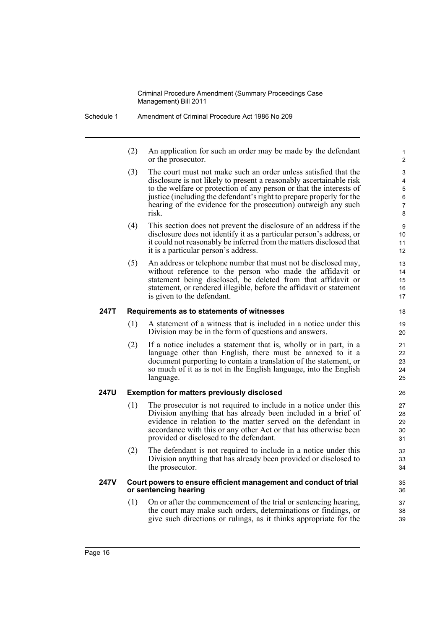- Schedule 1 Amendment of Criminal Procedure Act 1986 No 209
	- (2) An application for such an order may be made by the defendant or the prosecutor.

- (3) The court must not make such an order unless satisfied that the disclosure is not likely to present a reasonably ascertainable risk to the welfare or protection of any person or that the interests of justice (including the defendant's right to prepare properly for the hearing of the evidence for the prosecution) outweigh any such risk.
- (4) This section does not prevent the disclosure of an address if the disclosure does not identify it as a particular person's address, or it could not reasonably be inferred from the matters disclosed that it is a particular person's address.
- (5) An address or telephone number that must not be disclosed may, without reference to the person who made the affidavit or statement being disclosed, be deleted from that affidavit or statement, or rendered illegible, before the affidavit or statement is given to the defendant.

#### **247T Requirements as to statements of witnesses**

- (1) A statement of a witness that is included in a notice under this Division may be in the form of questions and answers.
- (2) If a notice includes a statement that is, wholly or in part, in a language other than English, there must be annexed to it a document purporting to contain a translation of the statement, or so much of it as is not in the English language, into the English language.

#### **247U Exemption for matters previously disclosed**

- (1) The prosecutor is not required to include in a notice under this Division anything that has already been included in a brief of evidence in relation to the matter served on the defendant in accordance with this or any other Act or that has otherwise been provided or disclosed to the defendant.
- (2) The defendant is not required to include in a notice under this Division anything that has already been provided or disclosed to the prosecutor.

#### **247V Court powers to ensure efficient management and conduct of trial or sentencing hearing**

(1) On or after the commencement of the trial or sentencing hearing, the court may make such orders, determinations or findings, or give such directions or rulings, as it thinks appropriate for the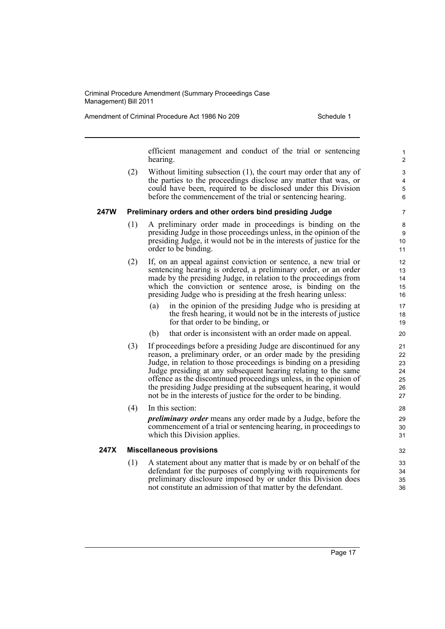Amendment of Criminal Procedure Act 1986 No 209 Schedule 1

efficient management and conduct of the trial or sentencing hearing.

(2) Without limiting subsection (1), the court may order that any of the parties to the proceedings disclose any matter that was, or could have been, required to be disclosed under this Division before the commencement of the trial or sentencing hearing.

#### **247W Preliminary orders and other orders bind presiding Judge**

- (1) A preliminary order made in proceedings is binding on the presiding Judge in those proceedings unless, in the opinion of the presiding Judge, it would not be in the interests of justice for the order to be binding.
- (2) If, on an appeal against conviction or sentence, a new trial or sentencing hearing is ordered, a preliminary order, or an order made by the presiding Judge, in relation to the proceedings from which the conviction or sentence arose, is binding on the presiding Judge who is presiding at the fresh hearing unless:
	- (a) in the opinion of the presiding Judge who is presiding at the fresh hearing, it would not be in the interests of justice for that order to be binding, or
	- (b) that order is inconsistent with an order made on appeal.
- (3) If proceedings before a presiding Judge are discontinued for any reason, a preliminary order, or an order made by the presiding Judge, in relation to those proceedings is binding on a presiding Judge presiding at any subsequent hearing relating to the same offence as the discontinued proceedings unless, in the opinion of the presiding Judge presiding at the subsequent hearing, it would not be in the interests of justice for the order to be binding.
- (4) In this section:

*preliminary order* means any order made by a Judge, before the commencement of a trial or sentencing hearing, in proceedings to which this Division applies.

#### **247X Miscellaneous provisions**

(1) A statement about any matter that is made by or on behalf of the defendant for the purposes of complying with requirements for preliminary disclosure imposed by or under this Division does not constitute an admission of that matter by the defendant.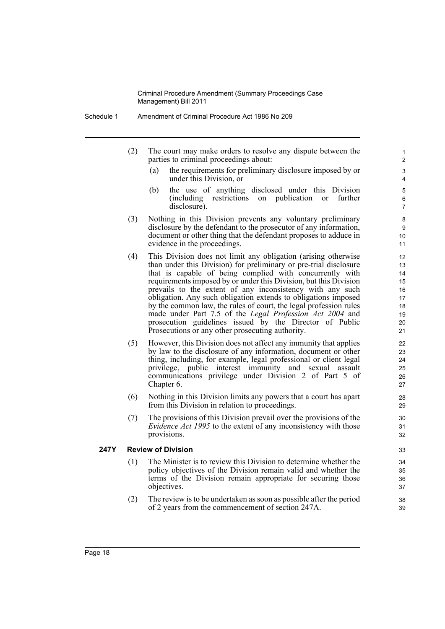- Schedule 1 Amendment of Criminal Procedure Act 1986 No 209
	- (2) The court may make orders to resolve any dispute between the parties to criminal proceedings about:
		- (a) the requirements for preliminary disclosure imposed by or under this Division, or

- (b) the use of anything disclosed under this Division (including restrictions on publication or further disclosure).
- (3) Nothing in this Division prevents any voluntary preliminary disclosure by the defendant to the prosecutor of any information, document or other thing that the defendant proposes to adduce in evidence in the proceedings.
- (4) This Division does not limit any obligation (arising otherwise than under this Division) for preliminary or pre-trial disclosure that is capable of being complied with concurrently with requirements imposed by or under this Division, but this Division prevails to the extent of any inconsistency with any such obligation. Any such obligation extends to obligations imposed by the common law, the rules of court, the legal profession rules made under Part 7.5 of the *Legal Profession Act 2004* and prosecution guidelines issued by the Director of Public Prosecutions or any other prosecuting authority.
- (5) However, this Division does not affect any immunity that applies by law to the disclosure of any information, document or other thing, including, for example, legal professional or client legal privilege, public interest immunity and sexual assault communications privilege under Division 2 of Part 5 of Chapter 6.
- (6) Nothing in this Division limits any powers that a court has apart from this Division in relation to proceedings.
- (7) The provisions of this Division prevail over the provisions of the *Evidence Act 1995* to the extent of any inconsistency with those provisions.

#### **247Y Review of Division**

- (1) The Minister is to review this Division to determine whether the policy objectives of the Division remain valid and whether the terms of the Division remain appropriate for securing those objectives.
- (2) The review is to be undertaken as soon as possible after the period of 2 years from the commencement of section 247A.